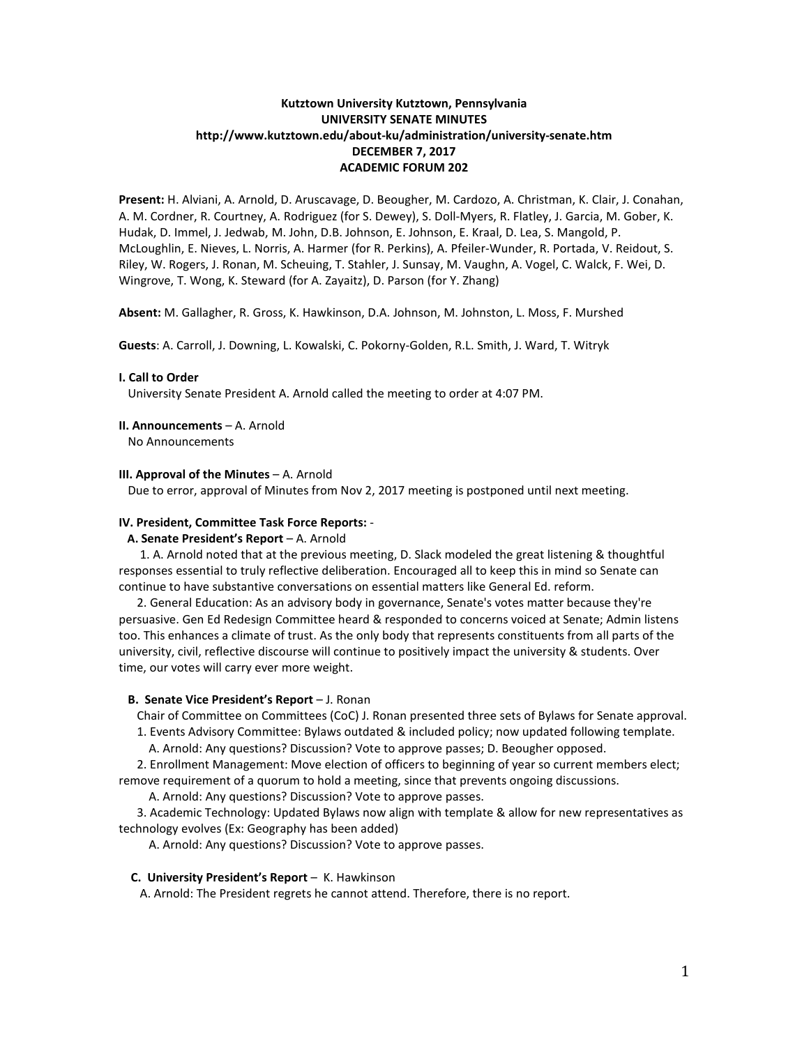# **Kutztown University Kutztown, Pennsylvania UNIVERSITY SENATE MINUTES http://www.kutztown.edu/about-ku/administration/university-senate.htm DECEMBER 7, 2017 ACADEMIC FORUM 202**

**Present:** H. Alviani, A. Arnold, D. Aruscavage, D. Beougher, M. Cardozo, A. Christman, K. Clair, J. Conahan, A. M. Cordner, R. Courtney, A. Rodriguez (for S. Dewey), S. Doll-Myers, R. Flatley, J. Garcia, M. Gober, K. Hudak, D. Immel, J. Jedwab, M. John, D.B. Johnson, E. Johnson, E. Kraal, D. Lea, S. Mangold, P. McLoughlin, E. Nieves, L. Norris, A. Harmer (for R. Perkins), A. Pfeiler-Wunder, R. Portada, V. Reidout, S. Riley, W. Rogers, J. Ronan, M. Scheuing, T. Stahler, J. Sunsay, M. Vaughn, A. Vogel, C. Walck, F. Wei, D. Wingrove, T. Wong, K. Steward (for A. Zayaitz), D. Parson (for Y. Zhang)

**Absent:** M. Gallagher, R. Gross, K. Hawkinson, D.A. Johnson, M. Johnston, L. Moss, F. Murshed

**Guests**: A. Carroll, J. Downing, L. Kowalski, C. Pokorny-Golden, R.L. Smith, J. Ward, T. Witryk

## **I. Call to Order**

University Senate President A. Arnold called the meeting to order at 4:07 PM.

### **II. Announcements** – A. Arnold

No Announcements

### **III. Approval of the Minutes** – A. Arnold

Due to error, approval of Minutes from Nov 2, 2017 meeting is postponed until next meeting.

#### **IV. President, Committee Task Force Reports:** -

## **A. Senate President's Report** – A. Arnold

 1. A. Arnold noted that at the previous meeting, D. Slack modeled the great listening & thoughtful responses essential to truly reflective deliberation. Encouraged all to keep this in mind so Senate can continue to have substantive conversations on essential matters like General Ed. reform.

 2. General Education: As an advisory body in governance, Senate's votes matter because they're persuasive. Gen Ed Redesign Committee heard & responded to concerns voiced at Senate; Admin listens too. This enhances a climate of trust. As the only body that represents constituents from all parts of the university, civil, reflective discourse will continue to positively impact the university & students. Over time, our votes will carry ever more weight.

### **B. Senate Vice President's Report** – J. Ronan

Chair of Committee on Committees (CoC) J. Ronan presented three sets of Bylaws for Senate approval.

1. Events Advisory Committee: Bylaws outdated & included policy; now updated following template.

A. Arnold: Any questions? Discussion? Vote to approve passes; D. Beougher opposed.

 2. Enrollment Management: Move election of officers to beginning of year so current members elect; remove requirement of a quorum to hold a meeting, since that prevents ongoing discussions.

A. Arnold: Any questions? Discussion? Vote to approve passes.

 3. Academic Technology: Updated Bylaws now align with template & allow for new representatives as technology evolves (Ex: Geography has been added)

A. Arnold: Any questions? Discussion? Vote to approve passes.

#### **C. University President's Report** – K. Hawkinson

A. Arnold: The President regrets he cannot attend. Therefore, there is no report.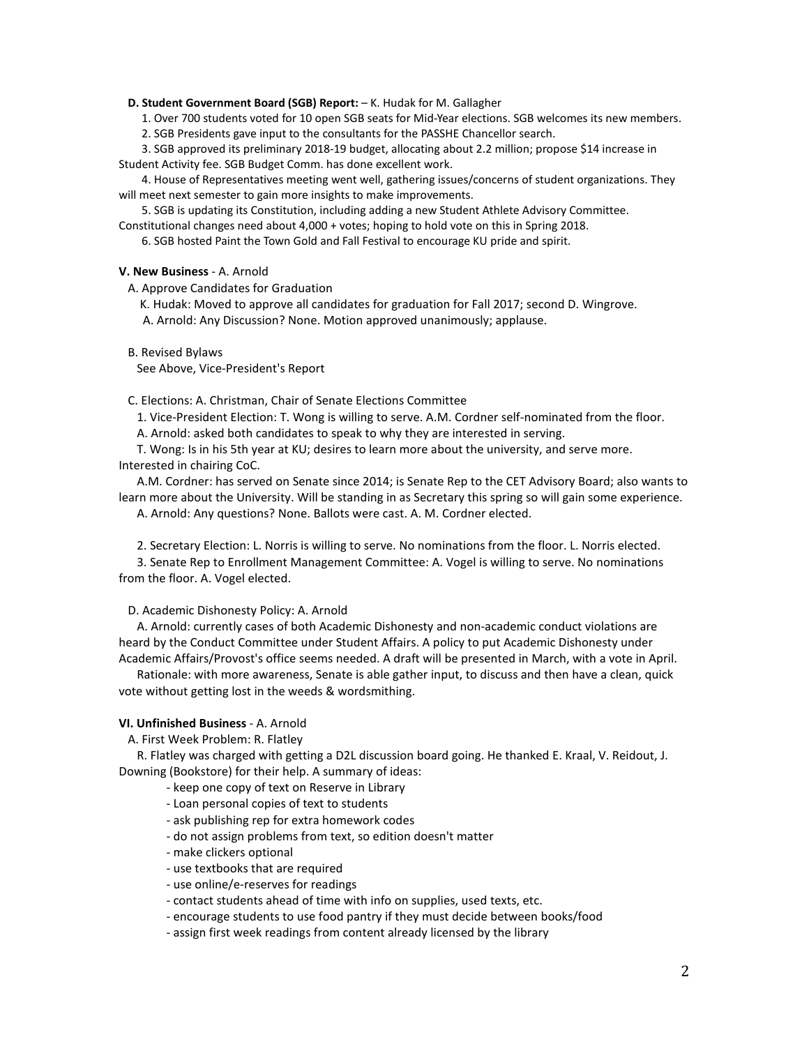### **D. Student Government Board (SGB) Report:** – K. Hudak for M. Gallagher

1. Over 700 students voted for 10 open SGB seats for Mid-Year elections. SGB welcomes its new members.

2. SGB Presidents gave input to the consultants for the PASSHE Chancellor search.

 3. SGB approved its preliminary 2018-19 budget, allocating about 2.2 million; propose \$14 increase in Student Activity fee. SGB Budget Comm. has done excellent work.

 4. House of Representatives meeting went well, gathering issues/concerns of student organizations. They will meet next semester to gain more insights to make improvements.

5. SGB is updating its Constitution, including adding a new Student Athlete Advisory Committee.

Constitutional changes need about 4,000 + votes; hoping to hold vote on this in Spring 2018.

6. SGB hosted Paint the Town Gold and Fall Festival to encourage KU pride and spirit.

### **V. New Business** - A. Arnold

A. Approve Candidates for Graduation

K. Hudak: Moved to approve all candidates for graduation for Fall 2017; second D. Wingrove.

A. Arnold: Any Discussion? None. Motion approved unanimously; applause.

B. Revised Bylaws

See Above, Vice-President's Report

C. Elections: A. Christman, Chair of Senate Elections Committee

1. Vice-President Election: T. Wong is willing to serve. A.M. Cordner self-nominated from the floor.

A. Arnold: asked both candidates to speak to why they are interested in serving.

 T. Wong: Is in his 5th year at KU; desires to learn more about the university, and serve more. Interested in chairing CoC.

 A.M. Cordner: has served on Senate since 2014; is Senate Rep to the CET Advisory Board; also wants to learn more about the University. Will be standing in as Secretary this spring so will gain some experience.

A. Arnold: Any questions? None. Ballots were cast. A. M. Cordner elected.

2. Secretary Election: L. Norris is willing to serve. No nominations from the floor. L. Norris elected.

 3. Senate Rep to Enrollment Management Committee: A. Vogel is willing to serve. No nominations from the floor. A. Vogel elected.

D. Academic Dishonesty Policy: A. Arnold

 A. Arnold: currently cases of both Academic Dishonesty and non-academic conduct violations are heard by the Conduct Committee under Student Affairs. A policy to put Academic Dishonesty under Academic Affairs/Provost's office seems needed. A draft will be presented in March, with a vote in April.

 Rationale: with more awareness, Senate is able gather input, to discuss and then have a clean, quick vote without getting lost in the weeds & wordsmithing.

# **VI. Unfinished Business** - A. Arnold

A. First Week Problem: R. Flatley

 R. Flatley was charged with getting a D2L discussion board going. He thanked E. Kraal, V. Reidout, J. Downing (Bookstore) for their help. A summary of ideas:

- keep one copy of text on Reserve in Library

- Loan personal copies of text to students
- ask publishing rep for extra homework codes
- do not assign problems from text, so edition doesn't matter
- make clickers optional
- use textbooks that are required
- use online/e-reserves for readings
- contact students ahead of time with info on supplies, used texts, etc.
- encourage students to use food pantry if they must decide between books/food
- assign first week readings from content already licensed by the library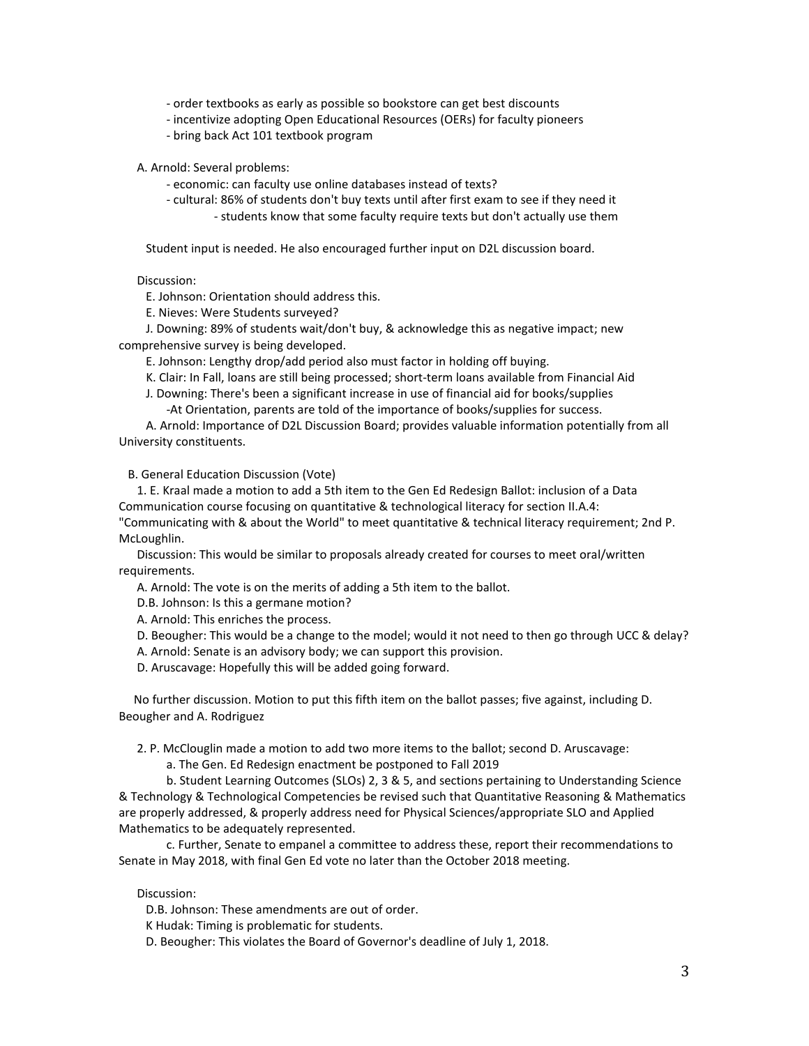- order textbooks as early as possible so bookstore can get best discounts

- incentivize adopting Open Educational Resources (OERs) for faculty pioneers
- bring back Act 101 textbook program

A. Arnold: Several problems:

- economic: can faculty use online databases instead of texts?
- cultural: 86% of students don't buy texts until after first exam to see if they need it - students know that some faculty require texts but don't actually use them

Student input is needed. He also encouraged further input on D2L discussion board.

Discussion:

E. Johnson: Orientation should address this.

E. Nieves: Were Students surveyed?

 J. Downing: 89% of students wait/don't buy, & acknowledge this as negative impact; new comprehensive survey is being developed.

E. Johnson: Lengthy drop/add period also must factor in holding off buying.

K. Clair: In Fall, loans are still being processed; short-term loans available from Financial Aid

J. Downing: There's been a significant increase in use of financial aid for books/supplies

-At Orientation, parents are told of the importance of books/supplies for success.

 A. Arnold: Importance of D2L Discussion Board; provides valuable information potentially from all University constituents.

B. General Education Discussion (Vote)

 1. E. Kraal made a motion to add a 5th item to the Gen Ed Redesign Ballot: inclusion of a Data Communication course focusing on quantitative & technological literacy for section II.A.4: "Communicating with & about the World" to meet quantitative & technical literacy requirement; 2nd P. McLoughlin.

 Discussion: This would be similar to proposals already created for courses to meet oral/written requirements.

A. Arnold: The vote is on the merits of adding a 5th item to the ballot.

D.B. Johnson: Is this a germane motion?

A. Arnold: This enriches the process.

- D. Beougher: This would be a change to the model; would it not need to then go through UCC & delay?
- A. Arnold: Senate is an advisory body; we can support this provision.
- D. Aruscavage: Hopefully this will be added going forward.

 No further discussion. Motion to put this fifth item on the ballot passes; five against, including D. Beougher and A. Rodriguez

2. P. McClouglin made a motion to add two more items to the ballot; second D. Aruscavage:

a. The Gen. Ed Redesign enactment be postponed to Fall 2019

b. Student Learning Outcomes (SLOs) 2, 3 & 5, and sections pertaining to Understanding Science & Technology & Technological Competencies be revised such that Quantitative Reasoning & Mathematics are properly addressed, & properly address need for Physical Sciences/appropriate SLO and Applied Mathematics to be adequately represented.

c. Further, Senate to empanel a committee to address these, report their recommendations to Senate in May 2018, with final Gen Ed vote no later than the October 2018 meeting.

Discussion:

D.B. Johnson: These amendments are out of order.

K Hudak: Timing is problematic for students.

D. Beougher: This violates the Board of Governor's deadline of July 1, 2018.